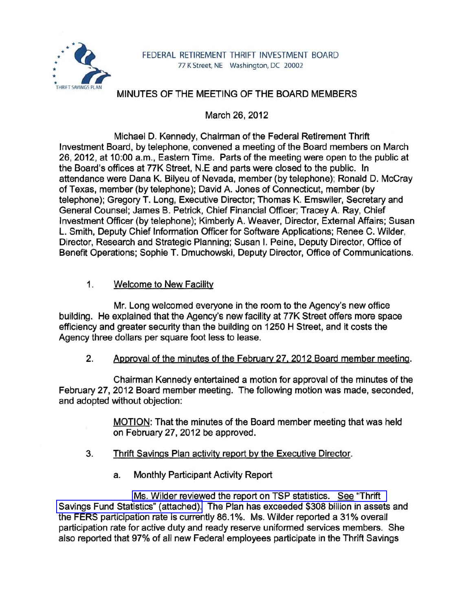

## MINUTES OF THE MEETING OF THE BOARD MEMBERS

March 26, 2012

Michael D. Kennedy, Chairman of the Federal Retirement Thrift Investment Board, by telephone, convened a meeting of the Board members on March 26,2012, at 10:00 a.m., Eastern Time. Parts of the meeting were open to the public at the Board's offices at 77K Street, N.E and parts were closed to the public. In attendance were Dana K. Bilyeu of Nevada, member (by telephone); Ronald D. McCray of Texas, member (by telephone); David A. Jones of Connecticut, member (by telephone); Gregory T. Long, Executive Director; Thomas K. Emswiler, Secretary and General Counsel; James B. Petrick, Chief Financial Officer; Tracey A. Ray, Chief Investment Officer (by telephone); Kimberly A. Weaver, Director, External Affairs; Susan L. Smith, Deputy Chief Information Officer for Software Applications; Renee C. Wilder, Director, Research and Strategic Planning; Susan I. Peine, Deputy Director, Office of Benefit Operations; Sophie T. Dmuchowski, Deputy Director, Office of Communications.

## 1. Welcome to New Facility

Mr. Long welcomed everyone in the room to the Agency's new office building. He explained that the Agency's new facility at 77K Street offers more space efficiency and greater security than the building on 1250 H Street, and it costs the Agency three dollars per square foot less to lease.

## 2. Approval of the minutes of the February 27. 2012 Board member meeting.

Chairman Kennedy entertained a motion for approval of the minutes of the February 27,2012 Board member meeting. The following motion was made, seconded, and adopted without objection:

> MOTION: That the minutes of the Board member meeting that was held on February 27,2012 be approved.

- 3. Thrift Savings Plan activity report by the Executive Director.
	- a. Monthly Participant Activity Report

[Ms. Wilder reviewed the report on TSP statistics. See "Thrift](www.frtib.gov/pdf/minutes/MM-2012Mar-Att1.pdf)  [Savings Fund Statistics" \(attached\).](www.frtib.gov/pdf/minutes/MM-2012Mar-Att1.pdf) The Plan has exceeded \$308 billion in assets and the FERS participation rate is currently 86.1 %. Ms. Wilder reported a 31 % overall participation rate for active duty and ready reserve uniformed services members. She also reported that 97% of all new Federal employees participate in the Thrift Savings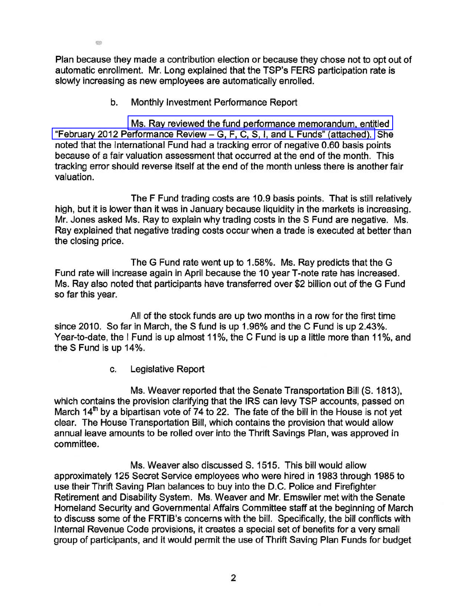Plan because they made a contribution election or because they chose not to opt out of automatic enrollment. Mr. Long explained that the TSP's FERS participation rate is slowly increasing as new employees are automatically enrolled.

b. Monthly Investment Performance Report

 $q\bar{q}$ 

[Ms. Ray reviewed the fund performance memorandum, entitled](www.frtib.gov/pdf/minutes/MM-2012Mar-Att2.pdf)  "February 2012 Performance Review - [G, F, C, S, I, and L Funds" \(attached\).](www.frtib.gov/pdf/minutes/MM-2012Mar-Att2.pdf) She noted that the International Fund had a tracking error of negative 0.60 basis points because of a fair valuation assessment that occurred at the end of the month. This tracking error should reverse itself at the end of the month unless there is another fair valuation.

The F Fund trading costs are 10.9 basis points. That is still relatively high, but it is lower than it was in January because liquidity in the markets is increasing. Mr. Jones asked Ms. Ray to explain why trading costs in the S Fund are negative. Ms. Ray explained that negative trading costs occur when a trade is executed at better than the closing price.

The G Fund rate went up to 1.58%. Ms. Ray predicts that the G Fund rate will increase again in April because the 10 yearT-note rate has increased. Ms. Ray also noted that participants have transferred over \$2 billion out of the G Fund so far this year.

All of the stock funds are up two months in a row for the first time since 2010. So far in March, the S fund is up 1.96% and the C Fund is up 2.43%. Year-to-date, the I Fund is up almost 11%, the C Fund is up a little more than 11%, and the S Fund is up 14%.

c. Legislative Report

Ms. Weaver reported that the Senate Transportation Bill (S. 1813), which contains the provision clarifying that the IRS can levy TSP accounts, passed on March  $14<sup>th</sup>$  by a bipartisan vote of 74 to 22. The fate of the bill in the House is not yet clear. The House Transportation Bill, which contains the provision that would allow annual leave amounts to be rolled over into the Thrift Savings Plan, was approved in committee.

Ms. Weaver also discussed S. 1515. This bill would allow approximately 125 Secret Service employees who were hired in 1983 through 1985 to use their Thrift Saving Plan balances to buy into the D.C. Police and Firefighter Retirement and Disability System. Ms. Weaver and Mr. Emswiler met with the Senate Homeland Security and Governmental Affairs Committee staff at the beginning of March to discuss some of the FRTIB's concerns with the bill. Specifically, the bill conflicts with Internal Revenue Code provisions, it creates a special set of benefits for a very small group of participants, and it would permit the use of Thrift Saving Plan Funds for budget